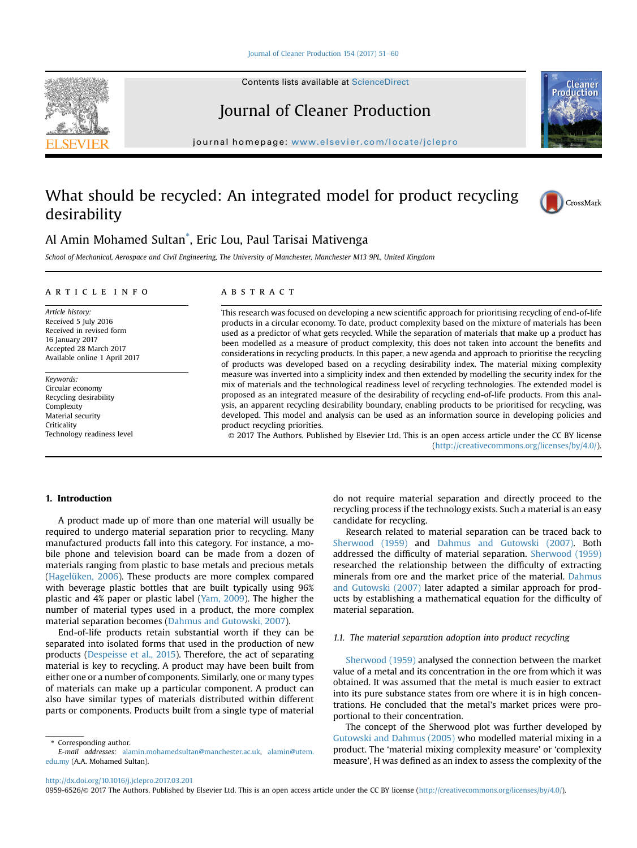### [Journal of Cleaner Production 154 \(2017\) 51](http://dx.doi.org/10.1016/j.jclepro.2017.03.201)-[60](http://dx.doi.org/10.1016/j.jclepro.2017.03.201)

Contents lists available at ScienceDirect

# Journal of Cleaner Production

journal homepage: [www.elsevier.com/locate/jclepro](http://www.elsevier.com/locate/jclepro)

# What should be recycled: An integrated model for product recycling desirability



School of Mechanical, Aerospace and Civil Engineering, The University of Manchester, Manchester M13 9PL, United Kingdom

### article info

Article history: Received 5 July 2016 Received in revised form 16 January 2017 Accepted 28 March 2017 Available online 1 April 2017

Keywords: Circular economy Recycling desirability Complexity Material security **Criticality** Technology readiness level

## **ABSTRACT**

This research was focused on developing a new scientific approach for prioritising recycling of end-of-life products in a circular economy. To date, product complexity based on the mixture of materials has been used as a predictor of what gets recycled. While the separation of materials that make up a product has been modelled as a measure of product complexity, this does not taken into account the benefits and considerations in recycling products. In this paper, a new agenda and approach to prioritise the recycling of products was developed based on a recycling desirability index. The material mixing complexity measure was inverted into a simplicity index and then extended by modelling the security index for the mix of materials and the technological readiness level of recycling technologies. The extended model is proposed as an integrated measure of the desirability of recycling end-of-life products. From this analysis, an apparent recycling desirability boundary, enabling products to be prioritised for recycling, was developed. This model and analysis can be used as an information source in developing policies and product recycling priorities.

© 2017 The Authors. Published by Elsevier Ltd. This is an open access article under the CC BY license [\(http://creativecommons.org/licenses/by/4.0/](http://creativecommons.org/licenses/by/4.0/)).

## 1. Introduction

A product made up of more than one material will usually be required to undergo material separation prior to recycling. Many manufactured products fall into this category. For instance, a mobile phone and television board can be made from a dozen of materials ranging from plastic to base metals and precious metals ([Hagelüken, 2006\)](#page-8-0). These products are more complex compared with beverage plastic bottles that are built typically using 96% plastic and 4% paper or plastic label [\(Yam, 2009\)](#page-9-0). The higher the number of material types used in a product, the more complex material separation becomes [\(Dahmus and Gutowski, 2007\)](#page-8-0).

End-of-life products retain substantial worth if they can be separated into isolated forms that used in the production of new products ([Despeisse et al., 2015](#page-8-0)). Therefore, the act of separating material is key to recycling. A product may have been built from either one or a number of components. Similarly, one or many types of materials can make up a particular component. A product can also have similar types of materials distributed within different parts or components. Products built from a single type of material

do not require material separation and directly proceed to the recycling process if the technology exists. Such a material is an easy candidate for recycling.

Research related to material separation can be traced back to [Sherwood \(1959\)](#page-9-0) and [Dahmus and Gutowski \(2007\)](#page-8-0). Both addressed the difficulty of material separation. [Sherwood \(1959\)](#page-9-0) researched the relationship between the difficulty of extracting minerals from ore and the market price of the material. [Dahmus](#page-8-0) [and Gutowski \(2007\)](#page-8-0) later adapted a similar approach for products by establishing a mathematical equation for the difficulty of material separation.

### 1.1. The material separation adoption into product recycling

[Sherwood \(1959\)](#page-9-0) analysed the connection between the market value of a metal and its concentration in the ore from which it was obtained. It was assumed that the metal is much easier to extract into its pure substance states from ore where it is in high concentrations. He concluded that the metal's market prices were proportional to their concentration.

The concept of the Sherwood plot was further developed by [Gutowski and Dahmus \(2005\)](#page-8-0) who modelled material mixing in a product. The 'material mixing complexity measure' or 'complexity measure', H was defined as an index to assess the complexity of the





CrossMark

<sup>\*</sup> Corresponding author.

E-mail addresses: [alamin.mohamedsultan@manchester.ac.uk](mailto:alamin.mohamedsultan@manchester.ac.uk), [alamin@utem.](mailto:alamin@utem.edu.my) [edu.my](mailto:alamin@utem.edu.my) (A.A. Mohamed Sultan).

<sup>0959-6526/</sup>© 2017 The Authors. Published by Elsevier Ltd. This is an open access article under the CC BY license ([http://creativecommons.org/licenses/by/4.0/\)](http://creativecommons.org/licenses/by/4.0/).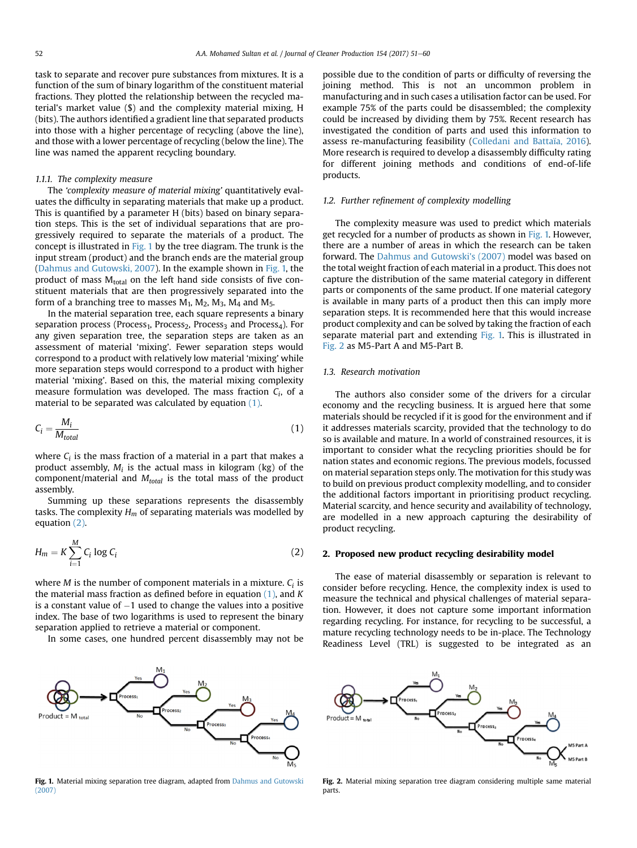<span id="page-1-0"></span>task to separate and recover pure substances from mixtures. It is a function of the sum of binary logarithm of the constituent material fractions. They plotted the relationship between the recycled material's market value (\$) and the complexity material mixing, H (bits). The authors identified a gradient line that separated products into those with a higher percentage of recycling (above the line), and those with a lower percentage of recycling (below the line). The line was named the apparent recycling boundary.

### 1.1.1. The complexity measure

The 'complexity measure of material mixing' quantitatively evaluates the difficulty in separating materials that make up a product. This is quantified by a parameter H (bits) based on binary separation steps. This is the set of individual separations that are progressively required to separate the materials of a product. The concept is illustrated in Fig. 1 by the tree diagram. The trunk is the input stream (product) and the branch ends are the material group ([Dahmus and Gutowski, 2007](#page-8-0)). In the example shown in Fig. 1, the product of mass M<sub>total</sub> on the left hand side consists of five constituent materials that are then progressively separated into the form of a branching tree to masses  $M_1$ ,  $M_2$ ,  $M_3$ ,  $M_4$  and  $M_5$ .

In the material separation tree, each square represents a binary separation process (Process<sub>1</sub>, Process<sub>2</sub>, Process<sub>3</sub> and Process<sub>4</sub>). For any given separation tree, the separation steps are taken as an assessment of material 'mixing'. Fewer separation steps would correspond to a product with relatively low material 'mixing' while more separation steps would correspond to a product with higher material 'mixing'. Based on this, the material mixing complexity measure formulation was developed. The mass fraction  $C_i$ , of a material to be separated was calculated by equation (1).

$$
C_i = \frac{M_i}{M_{total}}\tag{1}
$$

where  $C_i$  is the mass fraction of a material in a part that makes a product assembly,  $M_i$  is the actual mass in kilogram (kg) of the component/material and  $M_{total}$  is the total mass of the product assembly.

Summing up these separations represents the disassembly tasks. The complexity  $H_m$  of separating materials was modelled by equation (2).

$$
H_m = K \sum_{i=1}^{M} C_i \log C_i \tag{2}
$$

where  $M$  is the number of component materials in a mixture.  $C_i$  is the material mass fraction as defined before in equation  $(1)$ , and K is a constant value of  $-1$  used to change the values into a positive index. The base of two logarithms is used to represent the binary separation applied to retrieve a material or component.

In some cases, one hundred percent disassembly may not be



Fig. 1. Material mixing separation tree diagram, adapted from [Dahmus and Gutowski](#page-8-0) [\(2007\)](#page-8-0)

possible due to the condition of parts or difficulty of reversing the joining method. This is not an uncommon problem in manufacturing and in such cases a utilisation factor can be used. For example 75% of the parts could be disassembled; the complexity could be increased by dividing them by 75%. Recent research has investigated the condition of parts and used this information to assess re-manufacturing feasibility ([Colledani and Battaïa, 2016\)](#page-8-0). More research is required to develop a disassembly difficulty rating for different joining methods and conditions of end-of-life products.

### 1.2. Further refinement of complexity modelling

The complexity measure was used to predict which materials get recycled for a number of products as shown in Fig. 1. However, there are a number of areas in which the research can be taken forward. The [Dahmus and Gutowski's \(2007\)](#page-8-0) model was based on the total weight fraction of each material in a product. This does not capture the distribution of the same material category in different parts or components of the same product. If one material category is available in many parts of a product then this can imply more separation steps. It is recommended here that this would increase product complexity and can be solved by taking the fraction of each separate material part and extending Fig. 1. This is illustrated in Fig. 2 as M5-Part A and M5-Part B.

### 1.3. Research motivation

The authors also consider some of the drivers for a circular economy and the recycling business. It is argued here that some materials should be recycled if it is good for the environment and if it addresses materials scarcity, provided that the technology to do so is available and mature. In a world of constrained resources, it is important to consider what the recycling priorities should be for nation states and economic regions. The previous models, focussed on material separation steps only. The motivation for this study was to build on previous product complexity modelling, and to consider the additional factors important in prioritising product recycling. Material scarcity, and hence security and availability of technology, are modelled in a new approach capturing the desirability of product recycling.

### 2. Proposed new product recycling desirability model

The ease of material disassembly or separation is relevant to consider before recycling. Hence, the complexity index is used to measure the technical and physical challenges of material separation. However, it does not capture some important information regarding recycling. For instance, for recycling to be successful, a mature recycling technology needs to be in-place. The Technology Readiness Level (TRL) is suggested to be integrated as an



Fig. 2. Material mixing separation tree diagram considering multiple same material parts.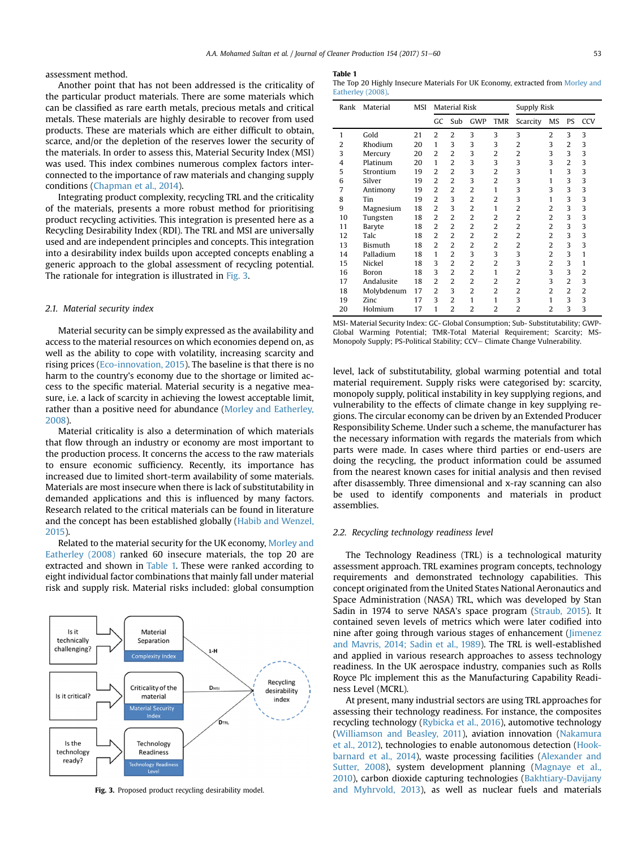<span id="page-2-0"></span>assessment method.

Another point that has not been addressed is the criticality of the particular product materials. There are some materials which can be classified as rare earth metals, precious metals and critical metals. These materials are highly desirable to recover from used products. These are materials which are either difficult to obtain, scarce, and/or the depletion of the reserves lower the security of the materials. In order to assess this, Material Security Index (MSI) was used. This index combines numerous complex factors interconnected to the importance of raw materials and changing supply conditions ([Chapman et al., 2014\)](#page-8-0).

Integrating product complexity, recycling TRL and the criticality of the materials, presents a more robust method for prioritising product recycling activities. This integration is presented here as a Recycling Desirability Index (RDI). The TRL and MSI are universally used and are independent principles and concepts. This integration into a desirability index builds upon accepted concepts enabling a generic approach to the global assessment of recycling potential. The rationale for integration is illustrated in Fig. 3.

### 2.1. Material security index

Material security can be simply expressed as the availability and access to the material resources on which economies depend on, as well as the ability to cope with volatility, increasing scarcity and rising prices [\(Eco-innovation, 2015\)](#page-8-0). The baseline is that there is no harm to the country's economy due to the shortage or limited access to the specific material. Material security is a negative measure, i.e. a lack of scarcity in achieving the lowest acceptable limit, rather than a positive need for abundance [\(Morley and Eatherley,](#page-8-0) [2008\)](#page-8-0).

Material criticality is also a determination of which materials that flow through an industry or economy are most important to the production process. It concerns the access to the raw materials to ensure economic sufficiency. Recently, its importance has increased due to limited short-term availability of some materials. Materials are most insecure when there is lack of substitutability in demanded applications and this is influenced by many factors. Research related to the critical materials can be found in literature and the concept has been established globally [\(Habib and Wenzel,](#page-8-0) [2015\)](#page-8-0).

Related to the material security for the UK economy, [Morley and](#page-8-0) [Eatherley \(2008\)](#page-8-0) ranked 60 insecure materials, the top 20 are extracted and shown in Table 1. These were ranked according to eight individual factor combinations that mainly fall under material risk and supply risk. Material risks included: global consumption



### Table 1

The Top 20 Highly Insecure Materials For UK Economy, extracted from [Morley and](#page-8-0) [Eatherley \(2008\)](#page-8-0).

| Rank | Material   | MSI |                | Material Risk  |                |                | Supply Risk    |                |                |                |
|------|------------|-----|----------------|----------------|----------------|----------------|----------------|----------------|----------------|----------------|
|      |            |     | GC             | Sub            | <b>GWP</b>     | TMR            | Scarcity       | MS             | PS             | <b>CCV</b>     |
| 1    | Gold       | 21  | $\overline{2}$ | $\overline{2}$ | 3              | 3              | 3              | $\overline{2}$ | 3              | 3              |
| 2    | Rhodium    | 20  | 1              | 3              | 3              | 3              | 2              | 3              | 2              | 3              |
| 3    | Mercury    | 20  | $\overline{2}$ | $\overline{2}$ | 3              | $\overline{2}$ | $\overline{2}$ | 3              | 3              | 3              |
| 4    | Platinum   | 20  | 1              | 2              | 3              | 3              | 3              | 3              | $\overline{2}$ | 3              |
| 5    | Strontium  | 19  | $\overline{2}$ | $\overline{2}$ | 3              | $\overline{2}$ | 3              | 1              | 3              | 3              |
| 6    | Silver     | 19  | $\overline{2}$ | 2              | 3              | $\overline{2}$ | 3              | 1              | 3              | 3              |
| 7    | Antimony   | 19  | 2              | 2              | 2              | 1              | 3              | 3              | 3              | 3              |
| 8    | Tin        | 19  | $\overline{2}$ | 3              | $\overline{2}$ | 2              | 3              | 1              | 3              | 3              |
| 9    | Magnesium  | 18  | $\overline{2}$ | 3              | 2              | 1              | $\overline{2}$ | 2              | 3              | 3              |
| 10   | Tungsten   | 18  | $\overline{2}$ | $\overline{2}$ | 2              | $\overline{2}$ | $\overline{2}$ | 2              | 3              | 3              |
| 11   | Baryte     | 18  | $\overline{2}$ | $\overline{2}$ | $\overline{2}$ | 2              | $\overline{2}$ | 2              | 3              | 3              |
| 12   | Talc       | 18  | $\overline{2}$ | $\overline{2}$ | $\overline{2}$ | $\overline{2}$ | $\overline{2}$ | $\overline{2}$ | 3              | 3              |
| 13   | Bismuth    | 18  | $\overline{2}$ | 2              | $\overline{2}$ | $\overline{2}$ | $\overline{2}$ | $\overline{2}$ | 3              | 3              |
| 14   | Palladium  | 18  | 1              | 2              | 3              | 3              | 3              | $\overline{2}$ | 3              | 1              |
| 15   | Nickel     | 18  | 3              | $\overline{2}$ | 2              | 2              | 3              | 2              | 3              | 1              |
| 16   | Boron      | 18  | 3              | 2              | 2              | 1              | $\overline{2}$ | 3              | 3              | 2              |
| 17   | Andalusite | 18  | $\overline{2}$ | $\overline{2}$ | $\overline{2}$ | $\overline{2}$ | $\overline{2}$ | 3              | $\overline{2}$ | 3              |
| 18   | Molybdenum | 17  | $\overline{2}$ | 3              | $\overline{2}$ | $\overline{2}$ | $\overline{2}$ | 2              | $\overline{2}$ | $\overline{2}$ |
| 19   | Zinc.      | 17  | 3              | $\overline{2}$ | 1              | 1              | 3              | 1              | 3              | 3              |
| 20   | Holmium    | 17  | 1              | $\overline{2}$ | $\overline{2}$ | $\overline{2}$ | $\overline{2}$ | $\overline{2}$ | 3              | 3              |

MSI- Material Security Index: GC- Global Consumption; Sub- Substitutability; GWP-Global Warming Potential; TMR-Total Material Requirement; Scarcity; MS-Monopoly Supply; PS-Political Stability; CCV- Climate Change Vulnerability.

level, lack of substitutability, global warming potential and total material requirement. Supply risks were categorised by: scarcity, monopoly supply, political instability in key supplying regions, and vulnerability to the effects of climate change in key supplying regions. The circular economy can be driven by an Extended Producer Responsibility Scheme. Under such a scheme, the manufacturer has the necessary information with regards the materials from which parts were made. In cases where third parties or end-users are doing the recycling, the product information could be assumed from the nearest known cases for initial analysis and then revised after disassembly. Three dimensional and x-ray scanning can also be used to identify components and materials in product assemblies.

### 2.2. Recycling technology readiness level

The Technology Readiness (TRL) is a technological maturity assessment approach. TRL examines program concepts, technology requirements and demonstrated technology capabilities. This concept originated from the United States National Aeronautics and Space Administration (NASA) TRL, which was developed by Stan Sadin in 1974 to serve NASA's space program ([Straub, 2015](#page-9-0)). It contained seven levels of metrics which were later codified into nine after going through various stages of enhancement [\(Jimenez](#page-8-0) [and Mavris, 2014; Sadin et al., 1989](#page-8-0)). The TRL is well-established and applied in various research approaches to assess technology readiness. In the UK aerospace industry, companies such as Rolls Royce Plc implement this as the Manufacturing Capability Readiness Level (MCRL).

At present, many industrial sectors are using TRL approaches for assessing their technology readiness. For instance, the composites recycling technology [\(Rybicka et al., 2016\)](#page-9-0), automotive technology ([Williamson and Beasley, 2011](#page-9-0)), aviation innovation ([Nakamura](#page-8-0) [et al., 2012\)](#page-8-0), technologies to enable autonomous detection ([Hook](#page-8-0)[barnard et al., 2014](#page-8-0)), waste processing facilities [\(Alexander and](#page-8-0) [Sutter, 2008](#page-8-0)), system development planning ([Magnaye et al.,](#page-8-0) [2010\)](#page-8-0), carbon dioxide capturing technologies ([Bakhtiary-Davijany](#page-8-0) Fig. 3. Proposed product recycling desirability model. **[and Myhrvold, 2013](#page-8-0)**), as well as nuclear fuels and materials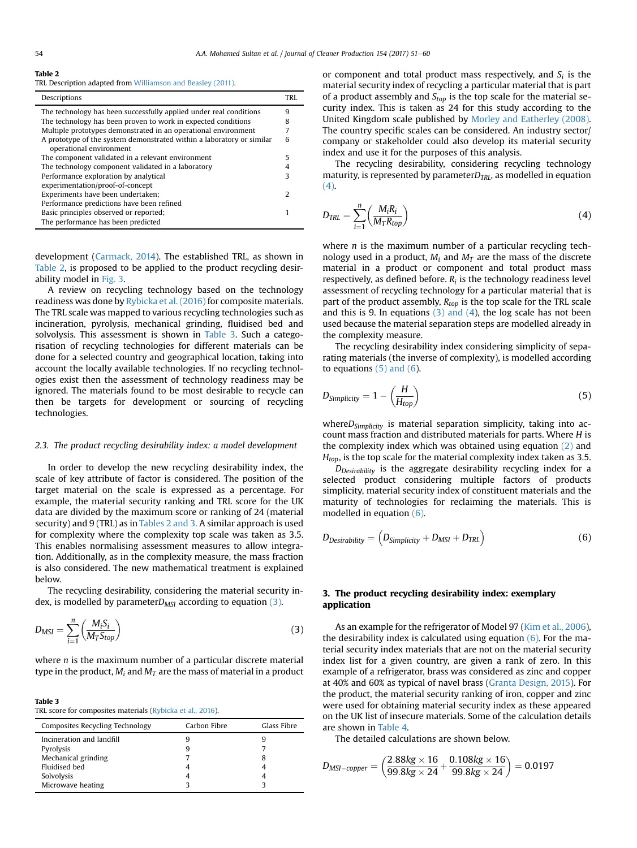#### <span id="page-3-0"></span>Table 2

|  | TRL Description adapted from Williamson and Beasley (2011). |  |  |  |  |  |  |  |  |  |  |  |
|--|-------------------------------------------------------------|--|--|--|--|--|--|--|--|--|--|--|
|--|-------------------------------------------------------------|--|--|--|--|--|--|--|--|--|--|--|

| Descriptions                                                          | TRI. |
|-----------------------------------------------------------------------|------|
| The technology has been successfully applied under real conditions    | 9    |
| The technology has been proven to work in expected conditions         | 8    |
| Multiple prototypes demonstrated in an operational environment        |      |
| A prototype of the system demonstrated within a laboratory or similar | 6    |
| operational environment                                               |      |
| The component validated in a relevant environment                     | 5    |
| The technology component validated in a laboratory                    | 4    |
| Performance exploration by analytical                                 | 3    |
| experimentation/proof-of-concept                                      |      |
| Experiments have been undertaken;                                     | 2    |
| Performance predictions have been refined                             |      |
| Basic principles observed or reported;                                |      |
| The performance has been predicted                                    |      |

development [\(Carmack, 2014](#page-8-0)). The established TRL, as shown in Table 2, is proposed to be applied to the product recycling desirability model in [Fig. 3](#page-2-0).

A review on recycling technology based on the technology readiness was done by [Rybicka et al. \(2016\)](#page-9-0) for composite materials. The TRL scale was mapped to various recycling technologies such as incineration, pyrolysis, mechanical grinding, fluidised bed and solvolysis. This assessment is shown in Table 3. Such a categorisation of recycling technologies for different materials can be done for a selected country and geographical location, taking into account the locally available technologies. If no recycling technologies exist then the assessment of technology readiness may be ignored. The materials found to be most desirable to recycle can then be targets for development or sourcing of recycling technologies.

### 2.3. The product recycling desirability index: a model development

In order to develop the new recycling desirability index, the scale of key attribute of factor is considered. The position of the target material on the scale is expressed as a percentage. For example, the material security ranking and TRL score for the UK data are divided by the maximum score or ranking of 24 (material security) and 9 (TRL) as in Tables 2 and 3. A similar approach is used for complexity where the complexity top scale was taken as 3.5. This enables normalising assessment measures to allow integration. Additionally, as in the complexity measure, the mass fraction is also considered. The new mathematical treatment is explained below.

The recycling desirability, considering the material security index, is modelled by parameter $D_{MSI}$  according to equation (3).

$$
D_{MSI} = \sum_{i=1}^{n} \left( \frac{M_i S_i}{M_T S_{top}} \right) \tag{3}
$$

where  $n$  is the maximum number of a particular discrete material type in the product,  $M_i$  and  $M_T$  are the mass of material in a product

Table 3 TRL score for composites materials ([Rybicka et al., 2016\)](#page-9-0).

| Composites Recycling Technology | Carbon Fibre | Glass Fibre |
|---------------------------------|--------------|-------------|
| Incineration and landfill       |              |             |
| Pyrolysis                       | q            |             |
| Mechanical grinding             |              |             |
| Fluidised bed                   |              |             |
| Solvolysis                      |              |             |
| Microwave heating               |              |             |

or component and total product mass respectively, and  $S_i$  is the material security index of recycling a particular material that is part of a product assembly and  $S_{top}$  is the top scale for the material security index. This is taken as 24 for this study according to the United Kingdom scale published by [Morley and Eatherley \(2008\).](#page-8-0) The country specific scales can be considered. An industry sector/ company or stakeholder could also develop its material security index and use it for the purposes of this analysis.

The recycling desirability, considering recycling technology maturity, is represented by parameter $D_{TR}$ , as modelled in equation (4).

$$
D_{TRL} = \sum_{i=1}^{n} \left( \frac{M_i R_i}{M_T R_{top}} \right) \tag{4}
$$

where  $n$  is the maximum number of a particular recycling technology used in a product,  $M_i$  and  $M_T$  are the mass of the discrete material in a product or component and total product mass respectively, as defined before.  $R_i$  is the technology readiness level assessment of recycling technology for a particular material that is part of the product assembly,  $R_{top}$  is the top scale for the TRL scale and this is 9. In equations  $(3)$  and  $(4)$ , the log scale has not been used because the material separation steps are modelled already in the complexity measure.

The recycling desirability index considering simplicity of separating materials (the inverse of complexity), is modelled according to equations  $(5)$  and  $(6)$ .

$$
D_{Simplify} = 1 - \left(\frac{H}{H_{top}}\right) \tag{5}
$$

where $D_{Simplify}$  is material separation simplicity, taking into account mass fraction and distributed materials for parts. Where H is the complexity index which was obtained using equation  $(2)$  and  $H_{top}$ , is the top scale for the material complexity index taken as 3.5.

 $D_{Desirability}$  is the aggregate desirability recycling index for a selected product considering multiple factors of products simplicity, material security index of constituent materials and the maturity of technologies for reclaiming the materials. This is modelled in equation (6).

$$
D_{Desirability} = \left(D_{Simplify} + D_{MSI} + D_{TRL}\right) \tag{6}
$$

### 3. The product recycling desirability index: exemplary application

As an example for the refrigerator of Model 97 [\(Kim et al., 2006\)](#page-8-0), the desirability index is calculated using equation  $(6)$ . For the material security index materials that are not on the material security index list for a given country, are given a rank of zero. In this example of a refrigerator, brass was considered as zinc and copper at 40% and 60% as typical of navel brass [\(Granta Design, 2015](#page-8-0)). For the product, the material security ranking of iron, copper and zinc were used for obtaining material security index as these appeared on the UK list of insecure materials. Some of the calculation details are shown in [Table 4.](#page-4-0)

The detailed calculations are shown below.

$$
D_{MSI-copper} = \left(\frac{2.88kg \times 16}{99.8kg \times 24} + \frac{0.108kg \times 16}{99.8kg \times 24}\right) = 0.0197
$$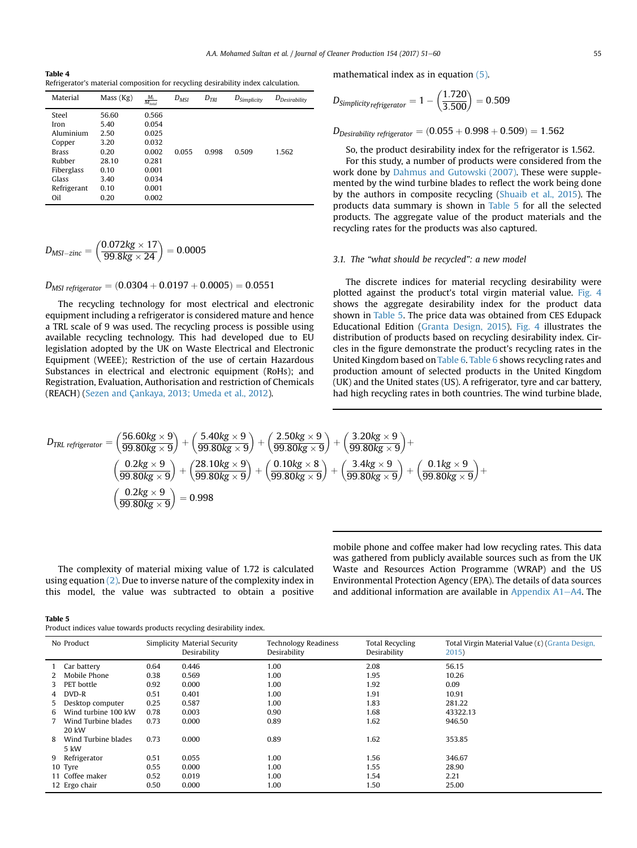<span id="page-4-0"></span>Table 4 Refrigerator's material composition for recycling desirability index calculation.

| Material     | Mass(Kg) | $M_i$<br>$M_{total}$ | $D_{MSI}$ | $D_{TRI}$ | $D_{Simplify}$ | $D_{Desirability}$ |
|--------------|----------|----------------------|-----------|-----------|----------------|--------------------|
| Steel        | 56.60    | 0.566                |           |           |                |                    |
| Iron         | 5.40     | 0.054                |           |           |                |                    |
| Aluminium    | 2.50     | 0.025                |           |           |                |                    |
| Copper       | 3.20     | 0.032                |           |           |                |                    |
| <b>Brass</b> | 0.20     | 0.002                | 0.055     | 0.998     | 0.509          | 1.562              |
| Rubber       | 28.10    | 0.281                |           |           |                |                    |
| Fiberglass   | 0.10     | 0.001                |           |           |                |                    |
| Glass        | 3.40     | 0.034                |           |           |                |                    |
| Refrigerant  | 0.10     | 0.001                |           |           |                |                    |
| Oil          | 0.20     | 0.002                |           |           |                |                    |

$$
D_{MSI-zinc}=\left(\frac{0.072kg\times17}{99.8kg\times24}\right)=0.0005
$$

 $D_{MSI}$  refrigerator =  $(0.0304 + 0.0197 + 0.0005) = 0.0551$ 

The recycling technology for most electrical and electronic equipment including a refrigerator is considered mature and hence a TRL scale of 9 was used. The recycling process is possible using available recycling technology. This had developed due to EU legislation adopted by the UK on Waste Electrical and Electronic Equipment (WEEE); Restriction of the use of certain Hazardous Substances in electrical and electronic equipment (RoHs); and Registration, Evaluation, Authorisation and restriction of Chemicals (REACH) [\(Sezen and Çankaya, 2013; Umeda et al., 2012\)](#page-9-0).

mathematical index as in equation [\(5\)](#page-3-0).

$$
D_{Simplify\,refrigerator} = 1 - \left(\frac{1.720}{3.500}\right) = 0.509
$$

 $D_{Desirability\ refrigerator} = (0.055 + 0.998 + 0.509) = 1.562$ 

So, the product desirability index for the refrigerator is 1.562.

For this study, a number of products were considered from the work done by [Dahmus and Gutowski \(2007\).](#page-8-0) These were supplemented by the wind turbine blades to reflect the work being done by the authors in composite recycling [\(Shuaib et al., 2015](#page-9-0)). The products data summary is shown in Table 5 for all the selected products. The aggregate value of the product materials and the recycling rates for the products was also captured.

### 3.1. The "what should be recycled": a new model

The discrete indices for material recycling desirability were plotted against the product's total virgin material value. [Fig. 4](#page-5-0) shows the aggregate desirability index for the product data shown in Table 5. The price data was obtained from CES Edupack Educational Edition [\(Granta Design, 2015\)](#page-8-0). [Fig. 4](#page-5-0) illustrates the distribution of products based on recycling desirability index. Circles in the figure demonstrate the product's recycling rates in the United Kingdom based on [Table 6.](#page-5-0) [Table 6](#page-5-0) shows recycling rates and production amount of selected products in the United Kingdom (UK) and the United states (US). A refrigerator, tyre and car battery, had high recycling rates in both countries. The wind turbine blade,

$$
D_{\text{TRL refrigerator}} = \left(\frac{56.60 \text{kg} \times 9}{99.80 \text{kg} \times 9}\right) + \left(\frac{5.40 \text{kg} \times 9}{99.80 \text{kg} \times 9}\right) + \left(\frac{2.50 \text{kg} \times 9}{99.80 \text{kg} \times 9}\right) + \left(\frac{3.20 \text{kg} \times 9}{99.80 \text{kg} \times 9}\right) + \left(\frac{0.2 \text{kg} \times 9}{99.80 \text{kg} \times 9}\right) + \left(\frac{28.10 \text{kg} \times 9}{99.80 \text{kg} \times 9}\right) + \left(\frac{0.10 \text{kg} \times 8}{99.80 \text{kg} \times 9}\right) + \left(\frac{3.4 \text{kg} \times 9}{99.80 \text{kg} \times 9}\right) + \left(\frac{0.1 \text{kg} \times 9}{99.80 \text{kg} \times 9}\right) + \left(\frac{0.2 \text{kg} \times 9}{99.80 \text{kg} \times 9}\right) = 0.998
$$

The complexity of material mixing value of 1.72 is calculated using equation  $(2)$ . Due to inverse nature of the complexity index in this model, the value was subtracted to obtain a positive mobile phone and coffee maker had low recycling rates. This data was gathered from publicly available sources such as from the UK Waste and Resources Action Programme (WRAP) and the US Environmental Protection Agency (EPA). The details of data sources and additional information are available in Appendix  $A1-A4$ . The

Table 5

Product indices value towards products recycling desirability index.

|                | No Product          |      | Simplicity Material Security<br>Desirability | <b>Technology Readiness</b><br>Desirability | <b>Total Recycling</b><br>Desirability | Total Virgin Material Value (£) (Granta Design,<br>2015) |
|----------------|---------------------|------|----------------------------------------------|---------------------------------------------|----------------------------------------|----------------------------------------------------------|
|                | Car battery         | 0.64 | 0.446                                        | 1.00                                        | 2.08                                   | 56.15                                                    |
| 2              | Mobile Phone        | 0.38 | 0.569                                        | 1.00                                        | 1.95                                   | 10.26                                                    |
| 3              | PET bottle          | 0.92 | 0.000                                        | 1.00                                        | 1.92                                   | 0.09                                                     |
| $\overline{4}$ | DVD-R               | 0.51 | 0.401                                        | 1.00                                        | 1.91                                   | 10.91                                                    |
| 5.             | Desktop computer    | 0.25 | 0.587                                        | 1.00                                        | 1.83                                   | 281.22                                                   |
| 6.             | Wind turbine 100 kW | 0.78 | 0.003                                        | 0.90                                        | 1.68                                   | 43322.13                                                 |
|                | Wind Turbine blades | 0.73 | 0.000                                        | 0.89                                        | 1.62                                   | 946.50                                                   |
|                | 20 kW               |      |                                              |                                             |                                        |                                                          |
| 8              | Wind Turbine blades | 0.73 | 0.000                                        | 0.89                                        | 1.62                                   | 353.85                                                   |
|                | 5 kW                |      |                                              |                                             |                                        |                                                          |
| 9              | Refrigerator        | 0.51 | 0.055                                        | 1.00                                        | 1.56                                   | 346.67                                                   |
|                | 10 Tyre             | 0.55 | 0.000                                        | 1.00                                        | 1.55                                   | 28.90                                                    |
|                | 11 Coffee maker     | 0.52 | 0.019                                        | 1.00                                        | 1.54                                   | 2.21                                                     |
|                | 12 Ergo chair       | 0.50 | 0.000                                        | 1.00                                        | 1.50                                   | 25.00                                                    |
|                |                     |      |                                              |                                             |                                        |                                                          |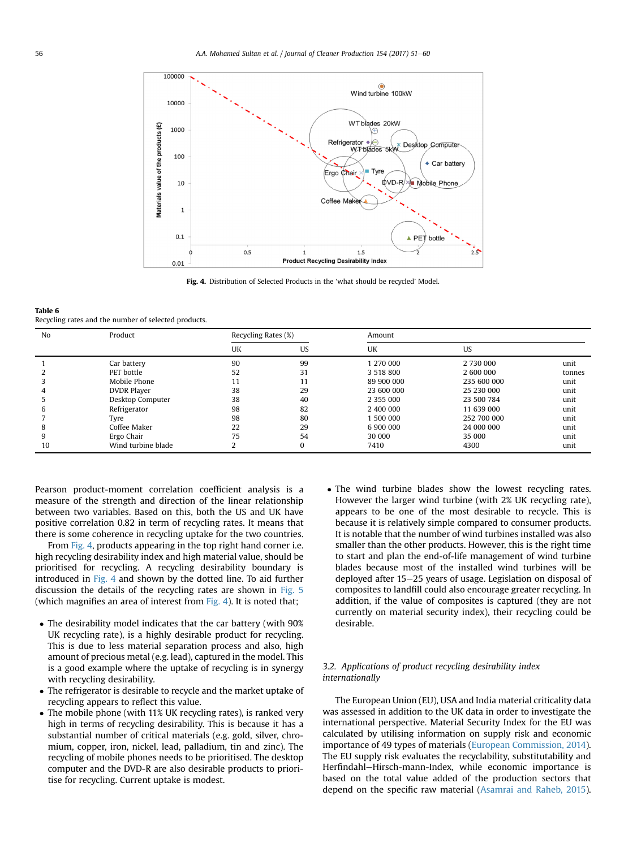<span id="page-5-0"></span>

Fig. 4. Distribution of Selected Products in the 'what should be recycled' Model.

Table 6 Recycling rates and the number of selected products.

| No | Product            | Recycling Rates (%) |    | Amount        |             |        |
|----|--------------------|---------------------|----|---------------|-------------|--------|
|    |                    | UK                  | US | UK            | US          |        |
|    | Car battery        | 90                  | 99 | 1 270 000     | 2 730 000   | unit   |
|    | PET bottle         | 52                  | 31 | 3 5 1 8 8 0 0 | 2 600 000   | tonnes |
|    | Mobile Phone       | 11                  | 11 | 89 900 000    | 235 600 000 | unit   |
|    | <b>DVDR Player</b> | 38                  | 29 | 23 600 000    | 25 230 000  | unit   |
|    | Desktop Computer   | 38                  | 40 | 2 355 000     | 23 500 784  | unit   |
| b  | Refrigerator       | 98                  | 82 | 2 400 000     | 11 639 000  | unit   |
|    | Tyre               | 98                  | 80 | 1 500 000     | 252 700 000 | unit   |
| 8  | Coffee Maker       | 22                  | 29 | 6 900 000     | 24 000 000  | unit   |
| 9  | Ergo Chair         | 75                  | 54 | 30 000        | 35 000      | unit   |
| 10 | Wind turbine blade |                     | 0  | 7410          | 4300        | unit   |

Pearson product-moment correlation coefficient analysis is a measure of the strength and direction of the linear relationship between two variables. Based on this, both the US and UK have positive correlation 0.82 in term of recycling rates. It means that there is some coherence in recycling uptake for the two countries.

From Fig. 4, products appearing in the top right hand corner i.e. high recycling desirability index and high material value, should be prioritised for recycling. A recycling desirability boundary is introduced in Fig. 4 and shown by the dotted line. To aid further discussion the details of the recycling rates are shown in [Fig. 5](#page-6-0) (which magnifies an area of interest from Fig. 4). It is noted that;

- The desirability model indicates that the car battery (with 90% UK recycling rate), is a highly desirable product for recycling. This is due to less material separation process and also, high amount of precious metal (e.g. lead), captured in the model. This is a good example where the uptake of recycling is in synergy with recycling desirability.
- The refrigerator is desirable to recycle and the market uptake of recycling appears to reflect this value.
- The mobile phone (with 11% UK recycling rates), is ranked very high in terms of recycling desirability. This is because it has a substantial number of critical materials (e.g. gold, silver, chromium, copper, iron, nickel, lead, palladium, tin and zinc). The recycling of mobile phones needs to be prioritised. The desktop computer and the DVD-R are also desirable products to prioritise for recycling. Current uptake is modest.
- The wind turbine blades show the lowest recycling rates. However the larger wind turbine (with 2% UK recycling rate), appears to be one of the most desirable to recycle. This is because it is relatively simple compared to consumer products. It is notable that the number of wind turbines installed was also smaller than the other products. However, this is the right time to start and plan the end-of-life management of wind turbine blades because most of the installed wind turbines will be deployed after 15–25 years of usage. Legislation on disposal of composites to landfill could also encourage greater recycling. In addition, if the value of composites is captured (they are not currently on material security index), their recycling could be desirable.

### 3.2. Applications of product recycling desirability index internationally

The European Union (EU), USA and India material criticality data was assessed in addition to the UK data in order to investigate the international perspective. Material Security Index for the EU was calculated by utilising information on supply risk and economic importance of 49 types of materials [\(European Commission, 2014\)](#page-8-0). The EU supply risk evaluates the recyclability, substitutability and Herfindahl-Hirsch-mann-Index, while economic importance is based on the total value added of the production sectors that depend on the specific raw material [\(Asamrai and Raheb, 2015\)](#page-8-0).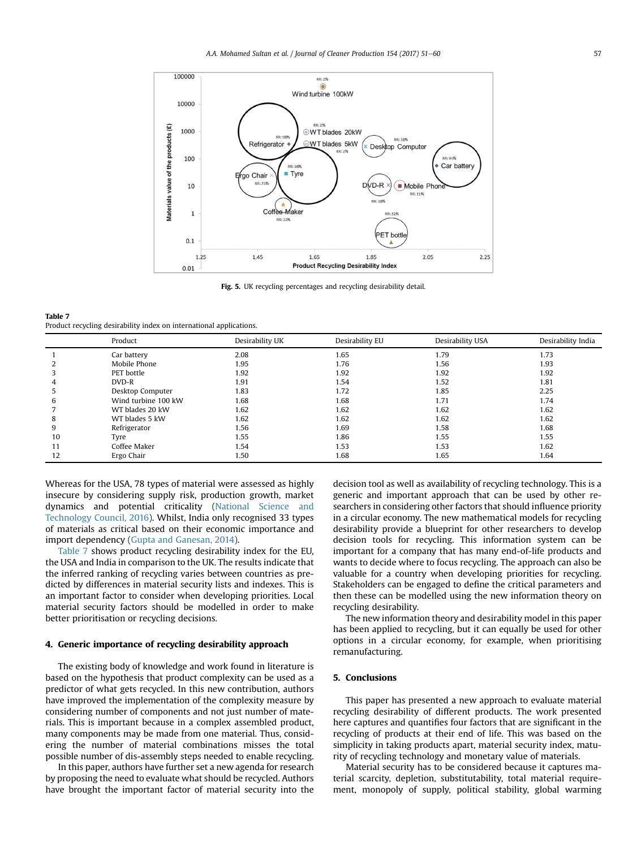<span id="page-6-0"></span>

Fig. 5. UK recycling percentages and recycling desirability detail.

Table 7 Product recycling desirability index on international applications.

|    | Product             | Desirability UK | Desirability EU | Desirability USA | Desirability India |
|----|---------------------|-----------------|-----------------|------------------|--------------------|
|    | Car battery         | 2.08            | 1.65            | 1.79             | 1.73               |
|    | Mobile Phone        | 1.95            | 1.76            | 1.56             | 1.93               |
|    | PET bottle          | 1.92            | 1.92            | 1.92             | 1.92               |
| 4  | DVD-R               | 1.91            | 1.54            | 1.52             | 1.81               |
|    | Desktop Computer    | 1.83            | 1.72            | 1.85             | 2.25               |
| 6  | Wind turbine 100 kW | 1.68            | 1.68            | 1.71             | 1.74               |
|    | WT blades 20 kW     | 1.62            | 1.62            | 1.62             | 1.62               |
| 8  | WT blades 5 kW      | 1.62            | 1.62            | 1.62             | 1.62               |
| 9  | Refrigerator        | 1.56            | 1.69            | 1.58             | 1.68               |
| 10 | Tyre                | 1.55            | 1.86            | 1.55             | 1.55               |
| 11 | Coffee Maker        | 1.54            | 1.53            | 1.53             | 1.62               |
| 12 | Ergo Chair          | 1.50            | 1.68            | 1.65             | 1.64               |

Whereas for the USA, 78 types of material were assessed as highly insecure by considering supply risk, production growth, market dynamics and potential criticality [\(National Science and](#page-8-0) [Technology Council, 2016](#page-8-0)). Whilst, India only recognised 33 types of materials as critical based on their economic importance and import dependency ([Gupta and Ganesan, 2014](#page-8-0)).

Table 7 shows product recycling desirability index for the EU, the USA and India in comparison to the UK. The results indicate that the inferred ranking of recycling varies between countries as predicted by differences in material security lists and indexes. This is an important factor to consider when developing priorities. Local material security factors should be modelled in order to make better prioritisation or recycling decisions.

### 4. Generic importance of recycling desirability approach

The existing body of knowledge and work found in literature is based on the hypothesis that product complexity can be used as a predictor of what gets recycled. In this new contribution, authors have improved the implementation of the complexity measure by considering number of components and not just number of materials. This is important because in a complex assembled product, many components may be made from one material. Thus, considering the number of material combinations misses the total possible number of dis-assembly steps needed to enable recycling.

In this paper, authors have further set a new agenda for research by proposing the need to evaluate what should be recycled. Authors have brought the important factor of material security into the decision tool as well as availability of recycling technology. This is a generic and important approach that can be used by other researchers in considering other factors that should influence priority in a circular economy. The new mathematical models for recycling desirability provide a blueprint for other researchers to develop decision tools for recycling. This information system can be important for a company that has many end-of-life products and wants to decide where to focus recycling. The approach can also be valuable for a country when developing priorities for recycling. Stakeholders can be engaged to define the critical parameters and then these can be modelled using the new information theory on recycling desirability.

The new information theory and desirability model in this paper has been applied to recycling, but it can equally be used for other options in a circular economy, for example, when prioritising remanufacturing.

# 5. Conclusions

This paper has presented a new approach to evaluate material recycling desirability of different products. The work presented here captures and quantifies four factors that are significant in the recycling of products at their end of life. This was based on the simplicity in taking products apart, material security index, maturity of recycling technology and monetary value of materials.

Material security has to be considered because it captures material scarcity, depletion, substitutability, total material requirement, monopoly of supply, political stability, global warming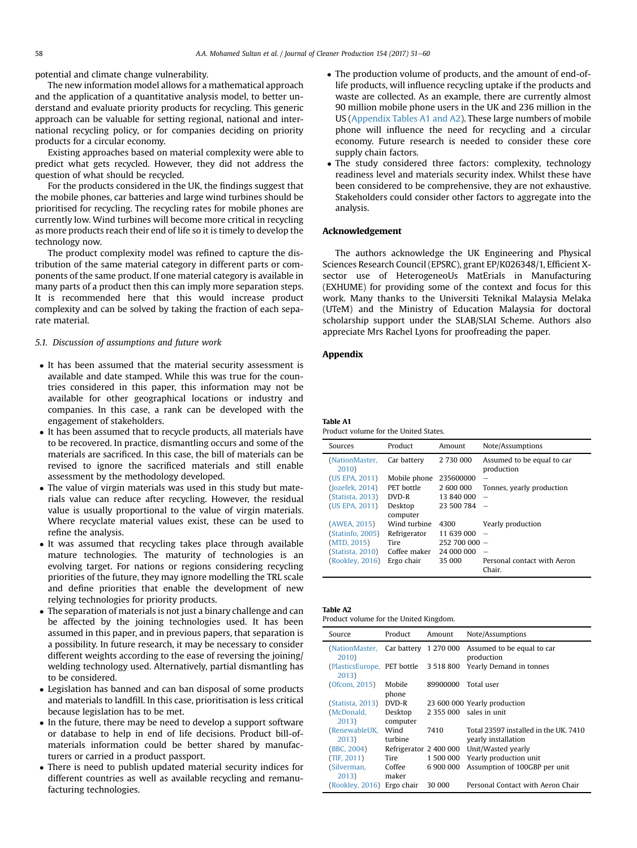<span id="page-7-0"></span>potential and climate change vulnerability.

The new information model allows for a mathematical approach and the application of a quantitative analysis model, to better understand and evaluate priority products for recycling. This generic approach can be valuable for setting regional, national and international recycling policy, or for companies deciding on priority products for a circular economy.

Existing approaches based on material complexity were able to predict what gets recycled. However, they did not address the question of what should be recycled.

For the products considered in the UK, the findings suggest that the mobile phones, car batteries and large wind turbines should be prioritised for recycling. The recycling rates for mobile phones are currently low. Wind turbines will become more critical in recycling as more products reach their end of life so it is timely to develop the technology now.

The product complexity model was refined to capture the distribution of the same material category in different parts or components of the same product. If one material category is available in many parts of a product then this can imply more separation steps. It is recommended here that this would increase product complexity and can be solved by taking the fraction of each separate material.

### 5.1. Discussion of assumptions and future work

- It has been assumed that the material security assessment is available and date stamped. While this was true for the countries considered in this paper, this information may not be available for other geographical locations or industry and companies. In this case, a rank can be developed with the engagement of stakeholders.
- It has been assumed that to recycle products, all materials have to be recovered. In practice, dismantling occurs and some of the materials are sacrificed. In this case, the bill of materials can be revised to ignore the sacrificed materials and still enable assessment by the methodology developed.
- The value of virgin materials was used in this study but materials value can reduce after recycling. However, the residual value is usually proportional to the value of virgin materials. Where recyclate material values exist, these can be used to refine the analysis.
- It was assumed that recycling takes place through available mature technologies. The maturity of technologies is an evolving target. For nations or regions considering recycling priorities of the future, they may ignore modelling the TRL scale and define priorities that enable the development of new relying technologies for priority products.
- The separation of materials is not just a binary challenge and can be affected by the joining technologies used. It has been assumed in this paper, and in previous papers, that separation is a possibility. In future research, it may be necessary to consider different weights according to the ease of reversing the joining/ welding technology used. Alternatively, partial dismantling has to be considered.
- Legislation has banned and can ban disposal of some products and materials to landfill. In this case, prioritisation is less critical because legislation has to be met.
- In the future, there may be need to develop a support software or database to help in end of life decisions. Product bill-ofmaterials information could be better shared by manufacturers or carried in a product passport.
- There is need to publish updated material security indices for different countries as well as available recycling and remanufacturing technologies.
- The production volume of products, and the amount of end-oflife products, will influence recycling uptake if the products and waste are collected. As an example, there are currently almost 90 million mobile phone users in the UK and 236 million in the US (Appendix Tables A1 and A2). These large numbers of mobile phone will influence the need for recycling and a circular economy. Future research is needed to consider these core supply chain factors.
- The study considered three factors: complexity, technology readiness level and materials security index. Whilst these have been considered to be comprehensive, they are not exhaustive. Stakeholders could consider other factors to aggregate into the analysis.

### Acknowledgement

The authors acknowledge the UK Engineering and Physical Sciences Research Council (EPSRC), grant EP/K026348/1, Efficient Xsector use of HeterogeneoUs MatErials in Manufacturing (EXHUME) for providing some of the context and focus for this work. Many thanks to the Universiti Teknikal Malaysia Melaka (UTeM) and the Ministry of Education Malaysia for doctoral scholarship support under the SLAB/SLAI Scheme. Authors also appreciate Mrs Rachel Lyons for proofreading the paper.

### Appendix

### Table A1

Table A2

Product volume for the United States.

| Sources                 | Product      | Amount      | Note/Assumptions                         |
|-------------------------|--------------|-------------|------------------------------------------|
| (NationMaster,<br>2010) | Car battery  | 2 730 000   | Assumed to be equal to car<br>production |
| (US EPA, 2011)          | Mobile phone | 235600000   | -                                        |
| (Jozefek, 2014)         | PET bottle   | 2 600 000   | Tonnes, yearly production                |
| (Statista, 2013)        | DVD-R        | 13 840 000  | $\overline{\phantom{0}}$                 |
| (US EPA, 2011)          | Desktop      | 23 500 784  | -                                        |
|                         | computer     |             |                                          |
| (AWEA, 2015)            | Wind turbine | 4300        | Yearly production                        |
| (Statinfo, 2005)        | Refrigerator | 11 639 000  |                                          |
| (MTD, 2015)             | Tire         | 252 700 000 | $\overline{\phantom{a}}$                 |
| (Statista, 2010)        | Coffee maker | 24 000 000  |                                          |
| (Rookley, 2016)         | Ergo chair   | 35 000      | Personal contact with Aeron<br>Chair.    |

| Product volume for the United Kingdom. |  |  |
|----------------------------------------|--|--|

| Source                                        | Product                | Amount        | Note/Assumptions                         |
|-----------------------------------------------|------------------------|---------------|------------------------------------------|
| (NationMaster, Car battery 1 270 000<br>2010) |                        |               | Assumed to be equal to car<br>production |
| (PlasticsEurope, PET bottle)<br>2013)         |                        | 3 5 1 8 8 0 0 | Yearly Demand in tonnes                  |
| (Ofcom, 2015)                                 | Mobile<br>phone        | 89900000      | Total user                               |
| (Statista, 2013)                              | DVD-R                  |               | 23 600 000 Yearly production             |
| (McDonald,                                    | Desktop                |               | $2.355000$ sales in unit                 |
| 2013)                                         | computer               |               |                                          |
| (RenewableUK,                                 | Wind                   | 7410          | Total 23597 installed in the UK. 7410    |
| 2013)                                         | turbine                |               | yearly installation                      |
| (BBC, 2004)                                   | Refrigerator 2 400 000 |               | Unit/Wasted yearly                       |
| (TIF, 2011)                                   | Tire                   | 1 500 000     | Yearly production unit                   |
| (Silverman,                                   | Coffee                 | 6 900 000     | Assumption of 100GBP per unit            |
| 2013)                                         | maker                  |               |                                          |
| (Rookley, 2016)                               | Ergo chair             | 30 000        | Personal Contact with Aeron Chair        |
|                                               |                        |               |                                          |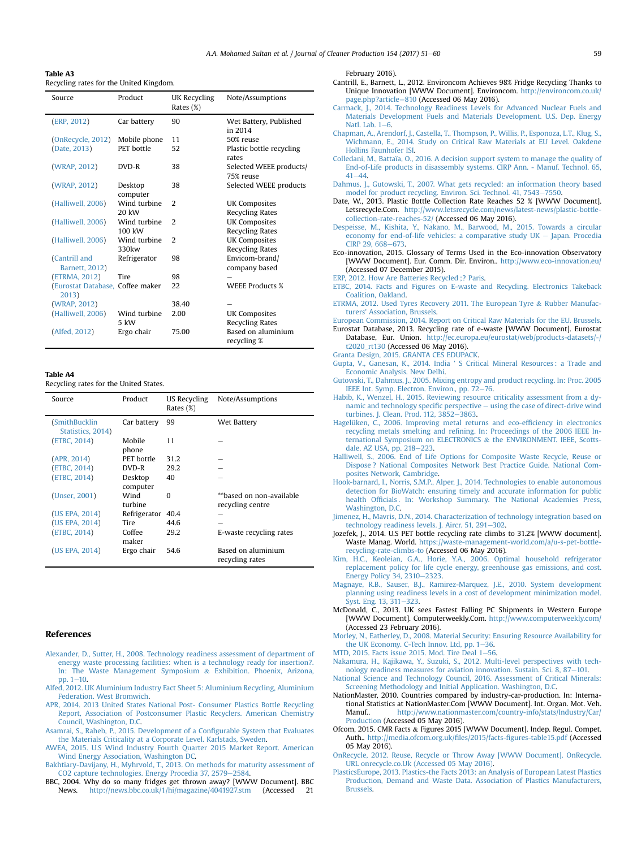<span id="page-8-0"></span>Table A3 Recycling rates for the United Kingdom.

| Source                                    | Product                | UK Recycling<br>Rates (%) | Note/Assumptions                               |
|-------------------------------------------|------------------------|---------------------------|------------------------------------------------|
| (ERP, 2012)                               | Car battery            | 90                        | Wet Battery, Published<br>in 2014              |
| (OnRecycle, 2012)                         | Mobile phone           | 11                        | 50% reuse                                      |
| (Date, 2013)                              | PET bottle             | 52                        | Plastic bottle recycling<br>rates              |
| (WRAP, 2012)                              | DVD-R                  | 38                        | Selected WEEE products/<br>75% reuse           |
| (WRAP, 2012)                              | Desktop<br>computer    | 38                        | Selected WEEE products                         |
| (Halliwell, 2006)                         | Wind turbine<br>20 kW  | $\overline{2}$            | <b>UK Composites</b><br><b>Recycling Rates</b> |
| (Halliwell, 2006)                         | Wind turbine<br>100 kW | $\overline{2}$            | <b>UK Composites</b><br><b>Recycling Rates</b> |
| (Halliwell, 2006)                         | Wind turbine<br>330kw  | 2                         | <b>UK Composites</b><br><b>Recycling Rates</b> |
| (Cantrill and<br>Barnett, 2012)           | Refrigerator           | 98                        | Envicom-brand/<br>company based                |
| (ETRMA, 2012)                             | Tire                   | 98                        |                                                |
| (Eurostat Database, Coffee maker<br>2013) |                        | 22                        | <b>WEEE Products %</b>                         |
| (WRAP, 2012)                              |                        | 38.40                     |                                                |
| (Halliwell, 2006)                         | Wind turbine<br>5 kW   | 2.00                      | <b>UK Composites</b><br><b>Recycling Rates</b> |
| (Alfed, 2012)                             | Ergo chair             | 75.00                     | Based on aluminium<br>recycling %              |

### Table A4

Recycling rates for the United States.

| Source                             | Product             | US Recycling<br>Rates $(\%)$ | Note/Assumptions                             |
|------------------------------------|---------------------|------------------------------|----------------------------------------------|
| (SmithBucklin<br>Statistics, 2014) | Car battery         | 99                           | Wet Battery                                  |
| (ETBC, 2014)                       | Mobile<br>phone     | 11                           |                                              |
| (APR, 2014)                        | <b>PET</b> bottle   | 31.2                         |                                              |
| (ETBC, 2014)                       | DVD-R               | 29.2                         |                                              |
| (ETBC, 2014)                       | Desktop<br>computer | 40                           |                                              |
| (Unser, 2001)                      | Wind<br>turbine     | $\Omega$                     | **based on non-available<br>recycling centre |
| (US EPA, 2014)                     | Refrigerator        | 40.4                         |                                              |
| (US EPA, 2014)                     | Tire                | 44.6                         |                                              |
| (ETBC, 2014)                       | Coffee<br>maker     | 29.2                         | E-waste recycling rates                      |
| (US EPA, 2014)                     | Ergo chair          | 54.6                         | Based on aluminium<br>recycling rates        |

### References

- [Alexander, D., Sutter, H., 2008. Technology readiness assessment of department of](http://refhub.elsevier.com/S0959-6526(17)30668-6/sref1) [energy waste processing facilities: when is a technology ready for insertion?.](http://refhub.elsevier.com/S0959-6526(17)30668-6/sref1) [In: The Waste Management Symposium](http://refhub.elsevier.com/S0959-6526(17)30668-6/sref1) & [Exhibition. Phoenix, Arizona,](http://refhub.elsevier.com/S0959-6526(17)30668-6/sref1) pp.  $1-10$ .
- [Alfed, 2012. UK Aluminium Industry Fact Sheet 5: Aluminium Recycling, Aluminium](http://refhub.elsevier.com/S0959-6526(17)30668-6/sref2) [Federation. West Bromwich.](http://refhub.elsevier.com/S0959-6526(17)30668-6/sref2)
- [APR, 2014. 2013 United States National Post- Consumer Plastics Bottle Recycling](http://refhub.elsevier.com/S0959-6526(17)30668-6/sref3) [Report, Association of Postconsumer Plastic Recyclers. American Chemistry](http://refhub.elsevier.com/S0959-6526(17)30668-6/sref3) [Council, Washington, D.C](http://refhub.elsevier.com/S0959-6526(17)30668-6/sref3).
- [Asamrai, S., Raheb, P., 2015. Development of a Con](http://refhub.elsevier.com/S0959-6526(17)30668-6/sref4)figurable System that Evaluates [the Materials Criticality at a Corporate Level. Karlstads, Sweden.](http://refhub.elsevier.com/S0959-6526(17)30668-6/sref4)
- [AWEA, 2015. U.S Wind Industry Fourth Quarter 2015 Market Report. American](http://refhub.elsevier.com/S0959-6526(17)30668-6/sref5) [Wind Energy Association, Washington DC](http://refhub.elsevier.com/S0959-6526(17)30668-6/sref5).
- [Bakhtiary-Davijany, H., Myhrvold, T., 2013. On methods for maturity assessment of](http://refhub.elsevier.com/S0959-6526(17)30668-6/sref6) [CO2 capture technologies. Energy Procedia 37, 2579](http://refhub.elsevier.com/S0959-6526(17)30668-6/sref6)-[2584](http://refhub.elsevier.com/S0959-6526(17)30668-6/sref6).
- BBC, 2004. Why do so many fridges get thrown away? [WWW Document]. BBC News. <http://news.bbc.co.uk/1/hi/magazine/4041927.stm> (Accessed

February 2016).

- Cantrill, E., Barnett, L., 2012. Environcom Achieves 98% Fridge Recycling Thanks to Unique Innovation [WWW Document]. Environcom. [http://environcom.co.uk/](http://environcom.co.uk/page.php?article=810) [page.php?article](http://environcom.co.uk/page.php?article=810)=[810](http://environcom.co.uk/page.php?article=810) (Accessed 06 May 2016).
- [Carmack, J., 2014. Technology Readiness Levels for Advanced Nuclear Fuels and](http://refhub.elsevier.com/S0959-6526(17)30668-6/sref10) [Materials Development Fuels and Materials Development. U.S. Dep. Energy](http://refhub.elsevier.com/S0959-6526(17)30668-6/sref10) Natl. Lab.  $1-6$  $1-6$ .
- [Chapman, A., Arendorf, J., Castella, T., Thompson, P., Willis, P., Esponoza, L.T., Klug, S.,](http://refhub.elsevier.com/S0959-6526(17)30668-6/sref11) [Wichmann, E., 2014. Study on Critical Raw Materials at EU Level. Oakdene](http://refhub.elsevier.com/S0959-6526(17)30668-6/sref11) [Hollins Faunhofer ISI](http://refhub.elsevier.com/S0959-6526(17)30668-6/sref11).
- [Colledani, M., Battaïa, O., 2016. A decision support system to manage the quality of](http://refhub.elsevier.com/S0959-6526(17)30668-6/sref12) [End-of-Life products in disassembly systems. CIRP Ann. - Manuf. Technol. 65,](http://refhub.elsevier.com/S0959-6526(17)30668-6/sref12)  $41 - 44.$  $41 - 44.$  $41 - 44.$
- [Dahmus, J., Gutowski, T., 2007. What gets recycled: an information theory based](http://refhub.elsevier.com/S0959-6526(17)30668-6/sref13) [model for product recycling. Environ. Sci. Technol. 41, 7543](http://refhub.elsevier.com/S0959-6526(17)30668-6/sref13)-[7550.](http://refhub.elsevier.com/S0959-6526(17)30668-6/sref13)
- Date, W., 2013. Plastic Bottle Collection Rate Reaches 52 % [WWW Document]. Letsrecycle.Com. [http://www.letsrecycle.com/news/latest-news/plastic-bottle](http://www.letsrecycle.com/news/latest-news/plastic-bottle-collection-rate-reaches-52/)[collection-rate-reaches-52/](http://www.letsrecycle.com/news/latest-news/plastic-bottle-collection-rate-reaches-52/) (Accessed 06 May 2016).
- [Despeisse, M., Kishita, Y., Nakano, M., Barwood, M., 2015. Towards a circular](http://refhub.elsevier.com/S0959-6526(17)30668-6/sref15) [economy for end-of-life vehicles: a comparative study UK](http://refhub.elsevier.com/S0959-6526(17)30668-6/sref15) - [Japan. Procedia](http://refhub.elsevier.com/S0959-6526(17)30668-6/sref15)  $CIRP 29 668 - 673$  $CIRP 29 668 - 673$
- Eco-innovation, 2015. Glossary of Terms Used in the Eco-innovation Observatory [WWW Document]. Eur. Comm. Dir. Environ.. <http://www.eco-innovation.eu/> (Accessed 07 December 2015).
- [ERP, 2012. How Are Batteries Recycled ;? Paris.](http://refhub.elsevier.com/S0959-6526(17)30668-6/sref17)
- [ETBC, 2014. Facts and Figures on E-waste and Recycling. Electronics Takeback](http://refhub.elsevier.com/S0959-6526(17)30668-6/sref18) [Coalition, Oakland](http://refhub.elsevier.com/S0959-6526(17)30668-6/sref18). [ETRMA, 2012. Used Tyres Recovery 2011. The European Tyre](http://refhub.elsevier.com/S0959-6526(17)30668-6/sref19) & [Rubber Manufac-](http://refhub.elsevier.com/S0959-6526(17)30668-6/sref19)
- turers' [Association, Brussels.](http://refhub.elsevier.com/S0959-6526(17)30668-6/sref19)
- [European Commission, 2014. Report on Critical Raw Materials for the EU. Brussels](http://refhub.elsevier.com/S0959-6526(17)30668-6/sref20). Eurostat Database, 2013. Recycling rate of e-waste [WWW Document]. Eurostat Database, Eur. Union. [http://ec.europa.eu/eurostat/web/products-datasets/-/](http://ec.europa.eu/eurostat/web/products-datasets/-/t2020_rt130) [t2020\\_rt130](http://ec.europa.eu/eurostat/web/products-datasets/-/t2020_rt130) (Accessed 06 May 2016).
- [Granta Design, 2015. GRANTA CES EDUPACK.](http://refhub.elsevier.com/S0959-6526(17)30668-6/sref22)
- Gupta, V., Ganesan, K., 2014. India ' [S Critical Mineral Resources : a Trade and](http://refhub.elsevier.com/S0959-6526(17)30668-6/sref23) [Economic Analysis. New Delhi.](http://refhub.elsevier.com/S0959-6526(17)30668-6/sref23)
- [Gutowski, T., Dahmus, J., 2005. Mixing entropy and product recycling. In: Proc. 2005](http://refhub.elsevier.com/S0959-6526(17)30668-6/sref24) [IEEE Int. Symp. Electron. Environ., pp. 72](http://refhub.elsevier.com/S0959-6526(17)30668-6/sref24)-[76.](http://refhub.elsevier.com/S0959-6526(17)30668-6/sref24)
- [Habib, K., Wenzel, H., 2015. Reviewing resource criticality assessment from a dy](http://refhub.elsevier.com/S0959-6526(17)30668-6/sref25)[namic and technology speci](http://refhub.elsevier.com/S0959-6526(17)30668-6/sref25)fic perspective - [using the case of direct-drive wind](http://refhub.elsevier.com/S0959-6526(17)30668-6/sref25) [turbines. J. Clean. Prod. 112, 3852](http://refhub.elsevier.com/S0959-6526(17)30668-6/sref25)-[3863](http://refhub.elsevier.com/S0959-6526(17)30668-6/sref25).
- [Hagelüken, C., 2006. Improving metal returns and eco-ef](http://refhub.elsevier.com/S0959-6526(17)30668-6/sref26)ficiency in electronics recycling metals smelting and refi[ning. In: Proceedings of the 2006 IEEE In](http://refhub.elsevier.com/S0959-6526(17)30668-6/sref26)[ternational Symposium on ELECTRONICS](http://refhub.elsevier.com/S0959-6526(17)30668-6/sref26) & [the ENVIRONMENT. IEEE, Scotts](http://refhub.elsevier.com/S0959-6526(17)30668-6/sref26)[dale, AZ USA, pp. 218](http://refhub.elsevier.com/S0959-6526(17)30668-6/sref26)-[223](http://refhub.elsevier.com/S0959-6526(17)30668-6/sref26).
- [Halliwell, S., 2006. End of Life Options for Composite Waste Recycle, Reuse or](http://refhub.elsevier.com/S0959-6526(17)30668-6/sref27) [Dispose ? National Composites Network Best Practice Guide. National Com](http://refhub.elsevier.com/S0959-6526(17)30668-6/sref27)[posites Network, Cambridge.](http://refhub.elsevier.com/S0959-6526(17)30668-6/sref27)
- [Hook-barnard, I., Norris, S.M.P., Alper, J., 2014. Technologies to enable autonomous](http://refhub.elsevier.com/S0959-6526(17)30668-6/sref28) [detection for BioWatch: ensuring timely and accurate information for public](http://refhub.elsevier.com/S0959-6526(17)30668-6/sref28) health Offi[cials . In: Workshop Summary. The National Academies Press,](http://refhub.elsevier.com/S0959-6526(17)30668-6/sref28) [Washington, D.C.](http://refhub.elsevier.com/S0959-6526(17)30668-6/sref28)
- [Jimenez, H., Mavris, D.N., 2014. Characterization of technology integration based on](http://refhub.elsevier.com/S0959-6526(17)30668-6/sref29) [technology readiness levels. J. Aircr. 51, 291](http://refhub.elsevier.com/S0959-6526(17)30668-6/sref29)-[302](http://refhub.elsevier.com/S0959-6526(17)30668-6/sref29).
- Jozefek, J., 2014. U.S PET bottle recycling rate climbs to 31.2% [WWW document]. Waste Manag. World. [https://waste-management-world.com/a/u-s-pet-bottle](https://waste-management-world.com/a/u-s-pet-bottle-recycling-rate-climbs-to)[recycling-rate-climbs-to](https://waste-management-world.com/a/u-s-pet-bottle-recycling-rate-climbs-to) (Accessed 06 May 2016).
- [Kim, H.C., Keoleian, G.A., Horie, Y.A., 2006. Optimal household refrigerator](http://refhub.elsevier.com/S0959-6526(17)30668-6/sref31) [replacement policy for life cycle energy, greenhouse gas emissions, and cost.](http://refhub.elsevier.com/S0959-6526(17)30668-6/sref31) [Energy Policy 34, 2310](http://refhub.elsevier.com/S0959-6526(17)30668-6/sref31)-[2323.](http://refhub.elsevier.com/S0959-6526(17)30668-6/sref31)
- [Magnaye, R.B., Sauser, B.J., Ramirez-Marquez, J.E., 2010. System development](http://refhub.elsevier.com/S0959-6526(17)30668-6/sref32) [planning using readiness levels in a cost of development minimization model.](http://refhub.elsevier.com/S0959-6526(17)30668-6/sref32) [Syst. Eng. 13, 311](http://refhub.elsevier.com/S0959-6526(17)30668-6/sref32)-[323](http://refhub.elsevier.com/S0959-6526(17)30668-6/sref32).
- McDonald, C., 2013. UK sees Fastest Falling PC Shipments in Western Europe [WWW Document]. Computerweekly.Com. <http://www.computerweekly.com/> (Accessed 23 February 2016).
- [Morley, N., Eatherley, D., 2008. Material Security: Ensuring Resource Availability for](http://refhub.elsevier.com/S0959-6526(17)30668-6/sref34) [the UK Economy. C-Tech Innov. Ltd, pp. 1](http://refhub.elsevier.com/S0959-6526(17)30668-6/sref34)-[36](http://refhub.elsevier.com/S0959-6526(17)30668-6/sref34).
- MTD, 2015. Facts issue 2015. Mod. Tire Deal  $1-56$
- [Nakamura, H., Kajikawa, Y., Suzuki, S., 2012. Multi-level perspectives with tech](http://refhub.elsevier.com/S0959-6526(17)30668-6/sref36)[nology readiness measures for aviation innovation. Sustain. Sci. 8, 87](http://refhub.elsevier.com/S0959-6526(17)30668-6/sref36)-[101.](http://refhub.elsevier.com/S0959-6526(17)30668-6/sref36)
- [National Science and Technology Council, 2016. Assessment of Critical Minerals:](http://refhub.elsevier.com/S0959-6526(17)30668-6/sref37) [Screening Methodology and Initial Application. Washington, D.C.](http://refhub.elsevier.com/S0959-6526(17)30668-6/sref37)
- NationMaster, 2010. Countries compared by industry-car-production. In: International Statistics at NationMaster.Com [WWW Document]. Int. Organ. Mot. Veh. Manuf.. [http://www.nationmaster.com/country-info/stats/Industry/Car/](http://www.nationmaster.com/country-info/stats/Industry/Car/Production) [Production](http://www.nationmaster.com/country-info/stats/Industry/Car/Production) (Accessed 05 May 2016).
- Ofcom, 2015. CMR Facts & Figures 2015 [WWW Document]. Indep. Regul. Compet. Auth.. [http://media.ofcom.org.uk/](http://media.ofcom.org.uk/files/2015/facts-figures-table15.pdf)files/2015/facts-figures-table15.pdf (Accessed 05 May 2016).
- [OnRecycle, 2012. Reuse, Recycle or Throw Away \[WWW Document\]. OnRecycle.](http://refhub.elsevier.com/S0959-6526(17)30668-6/sref40) [URL onrecycle.co.Uk \(Accessed 05 May 2016\).](http://refhub.elsevier.com/S0959-6526(17)30668-6/sref40)
- [PlasticsEurope, 2013. Plastics-the Facts 2013: an Analysis of European Latest Plastics](http://refhub.elsevier.com/S0959-6526(17)30668-6/sref41) [Production, Demand and Waste Data. Association of Plastics Manufacturers,](http://refhub.elsevier.com/S0959-6526(17)30668-6/sref41) [Brussels](http://refhub.elsevier.com/S0959-6526(17)30668-6/sref41).